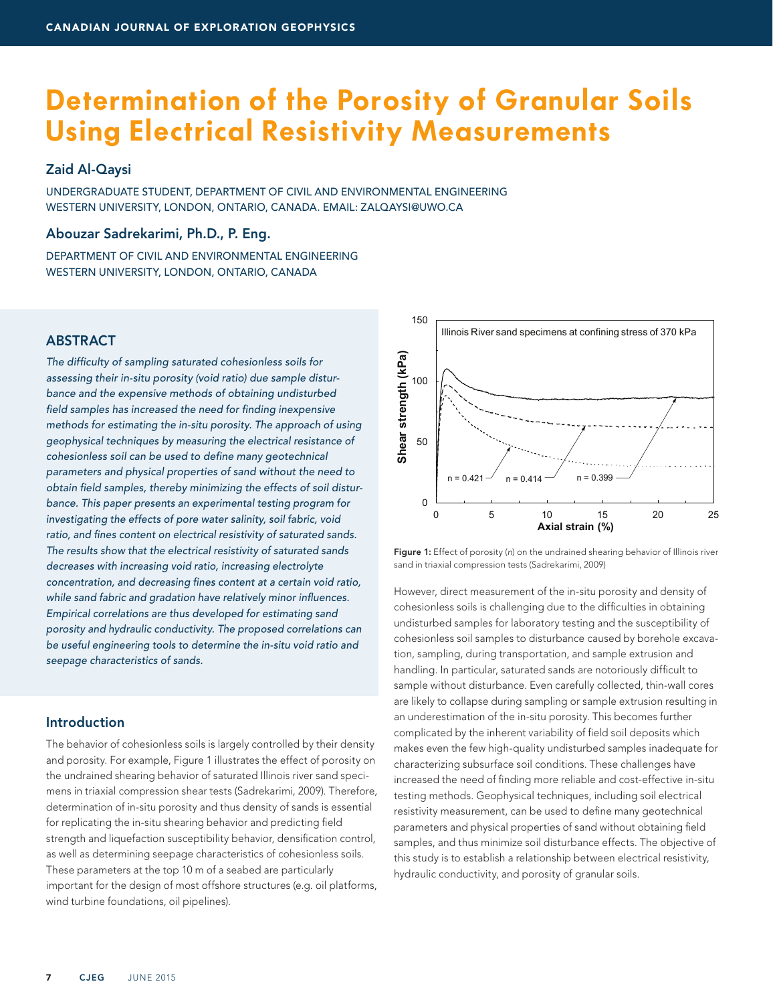# **Determination of the Porosity of Granular Soils Using Electrical Resistivity Measurements**

## Zaid Al-Qaysi

UNDERGRADUATE STUDENT, DEPARTMENT OF CIVIL AND ENVIRONMENTAL ENGINEERING WESTERN UNIVERSITY, LONDON, ONTARIO, CANADA. EMAIL: ZALQAYSI@UWO.CA

## Abouzar Sadrekarimi, Ph.D., P. Eng.

DEPARTMENT OF CIVIL AND ENVIRONMENTAL ENGINEERING WESTERN UNIVERSITY, LONDON, ONTARIO, CANADA

# **ABSTRACT**

*The difficulty of sampling saturated cohesionless soils for assessing their in-situ porosity (void ratio) due sample disturbance and the expensive methods of obtaining undisturbed field samples has increased the need for finding inexpensive methods for estimating the in-situ porosity. The approach of using geophysical techniques by measuring the electrical resistance of cohesionless soil can be used to define many geotechnical parameters and physical properties of sand without the need to obtain field samples, thereby minimizing the effects of soil disturbance. This paper presents an experimental testing program for investigating the effects of pore water salinity, soil fabric, void ratio, and fines content on electrical resistivity of saturated sands. The results show that the electrical resistivity of saturated sands decreases with increasing void ratio, increasing electrolyte concentration, and decreasing fines content at a certain void ratio, while sand fabric and gradation have relatively minor influences. Empirical correlations are thus developed for estimating sand porosity and hydraulic conductivity. The proposed correlations can be useful engineering tools to determine the in-situ void ratio and seepage characteristics of sands.*

## Introduction

The behavior of cohesionless soils is largely controlled by their density and porosity. For example, Figure 1 illustrates the effect of porosity on the undrained shearing behavior of saturated Illinois river sand specimens in triaxial compression shear tests (Sadrekarimi, 2009). Therefore, determination of in-situ porosity and thus density of sands is essential for replicating the in-situ shearing behavior and predicting field strength and liquefaction susceptibility behavior, densification control, as well as determining seepage characteristics of cohesionless soils. These parameters at the top 10 m of a seabed are particularly important for the design of most offshore structures (e.g. oil platforms, wind turbine foundations, oil pipelines).



Figure 1: Effect of porosity (*n*) on the undrained shearing behavior of Illinois river sand in triaxial compression tests (Sadrekarimi, 2009)

However, direct measurement of the in-situ porosity and density of cohesionless soils is challenging due to the difficulties in obtaining undisturbed samples for laboratory testing and the susceptibility of cohesionless soil samples to disturbance caused by borehole excavation, sampling, during transportation, and sample extrusion and handling. In particular, saturated sands are notoriously difficult to sample without disturbance. Even carefully collected, thin-wall cores are likely to collapse during sampling or sample extrusion resulting in an underestimation of the in-situ porosity. This becomes further complicated by the inherent variability of field soil deposits which makes even the few high-quality undisturbed samples inadequate for characterizing subsurface soil conditions. These challenges have increased the need of finding more reliable and cost-effective in-situ testing methods. Geophysical techniques, including soil electrical resistivity measurement, can be used to define many geotechnical parameters and physical properties of sand without obtaining field samples, and thus minimize soil disturbance effects. The objective of this study is to establish a relationship between electrical resistivity, hydraulic conductivity, and porosity of granular soils.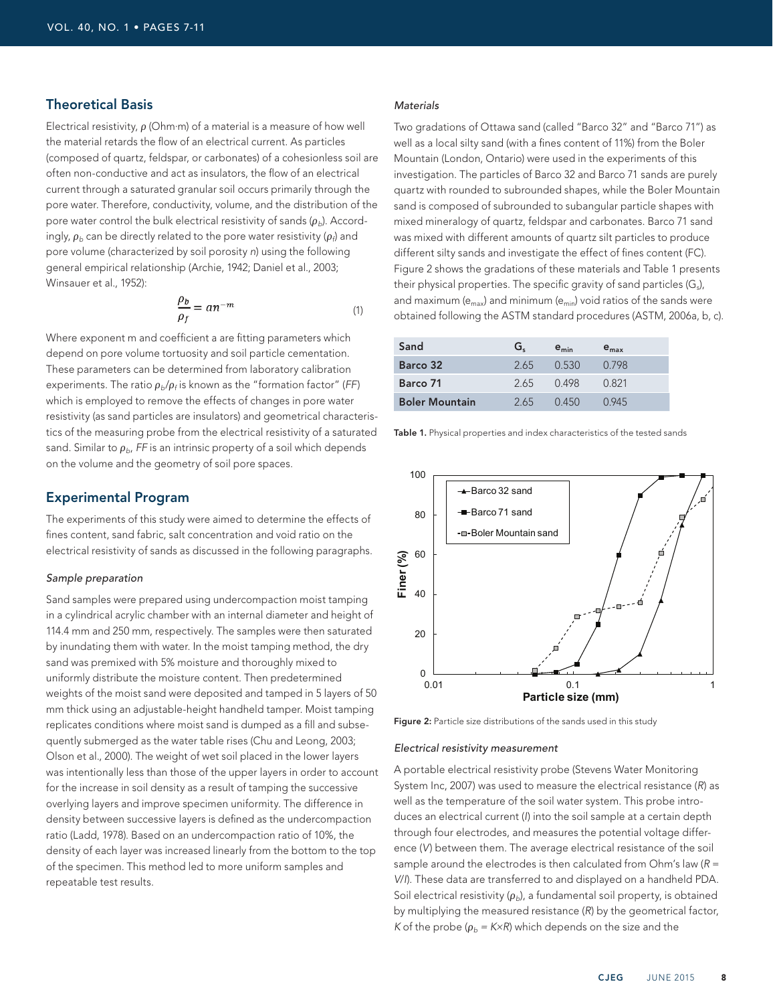## Theoretical Basis

Electrical resistivity,  $\rho$  (Ohm·m) of a material is a measure of how well the material retards the flow of an electrical current. As particles (composed of quartz, feldspar, or carbonates) of a cohesionless soil are often non-conductive and act as insulators, the flow of an electrical current through a saturated granular soil occurs primarily through the pore water. Therefore, conductivity, volume, and the distribution of the pore water control the bulk electrical resistivity of sands  $(\rho_b)$ . Accordingly,  $\rho_b$  can be directly related to the pore water resistivity ( $\rho_f$ ) and pore volume (characterized by soil porosity *n*) using the following general empirical relationship (Archie, 1942; Daniel et al., 2003; Winsauer et al., 1952):

$$
\frac{\rho_b}{\rho_f} = a n^{-m} \tag{1}
$$

Where exponent m and coefficient a are fitting parameters which depend on pore volume tortuosity and soil particle cementation. These parameters can be determined from laboratory calibration experiments. The ratio  $\rho_{b}/\rho_{f}$  is known as the "formation factor" (FF) which is employed to remove the effects of changes in pore water resistivity (as sand particles are insulators) and geometrical characteristics of the measuring probe from the electrical resistivity of a saturated sand. Similar to  $\rho_{b}$ , *FF* is an intrinsic property of a soil which depends on the volume and the geometry of soil pore spaces.

### Experimental Program

The experiments of this study were aimed to determine the effects of fines content, sand fabric, salt concentration and void ratio on the electrical resistivity of sands as discussed in the following paragraphs.

#### *Sample preparation*

Sand samples were prepared using undercompaction moist tamping in a cylindrical acrylic chamber with an internal diameter and height of 114.4 mm and 250 mm, respectively. The samples were then saturated by inundating them with water. In the moist tamping method, the dry sand was premixed with 5% moisture and thoroughly mixed to uniformly distribute the moisture content. Then predetermined weights of the moist sand were deposited and tamped in 5 layers of 50 mm thick using an adjustable-height handheld tamper. Moist tamping replicates conditions where moist sand is dumped as a fill and subsequently submerged as the water table rises (Chu and Leong, 2003; Olson et al., 2000). The weight of wet soil placed in the lower layers was intentionally less than those of the upper layers in order to account for the increase in soil density as a result of tamping the successive overlying layers and improve specimen uniformity. The difference in density between successive layers is defined as the undercompaction ratio (Ladd, 1978). Based on an undercompaction ratio of 10%, the density of each layer was increased linearly from the bottom to the top of the specimen. This method led to more uniform samples and repeatable test results.

#### *Materials*

Two gradations of Ottawa sand (called "Barco 32" and "Barco 71") as well as a local silty sand (with a fines content of 11%) from the Boler Mountain (London, Ontario) were used in the experiments of this investigation. The particles of Barco 32 and Barco 71 sands are purely quartz with rounded to subrounded shapes, while the Boler Mountain sand is composed of subrounded to subangular particle shapes with mixed mineralogy of quartz, feldspar and carbonates. Barco 71 sand was mixed with different amounts of quartz silt particles to produce different silty sands and investigate the effect of fines content (FC). Figure 2 shows the gradations of these materials and Table 1 presents their physical properties. The specific gravity of sand particles  $(G_s)$ , and maximum ( $e_{max}$ ) and minimum ( $e_{min}$ ) void ratios of the sands were obtained following the ASTM standard procedures (ASTM, 2006a, b, c).

| Sand                  | G.  | $e_{min}$ | $e_{\text{max}}$ |
|-----------------------|-----|-----------|------------------|
| Barco 32              | 265 | 0.530     | 0.798            |
| Barco 71              | 265 | 0498      | 0.821            |
| <b>Boler Mountain</b> | 265 | 0450      | 0945             |

Table 1. Physical properties and index characteristics of the tested sands



Figure 2: Particle size distributions of the sands used in this study

#### *Electrical resistivity measurement*

A portable electrical resistivity probe (Stevens Water Monitoring System Inc, 2007) was used to measure the electrical resistance (*R*) as well as the temperature of the soil water system. This probe introduces an electrical current (*I*) into the soil sample at a certain depth through four electrodes, and measures the potential voltage difference (*V*) between them. The average electrical resistance of the soil sample around the electrodes is then calculated from Ohm's law (*R* = *V*/*I*). These data are transferred to and displayed on a handheld PDA. Soil electrical resistivity  $(\rho_b)$ , a fundamental soil property, is obtained by multiplying the measured resistance (*R*) by the geometrical factor, *K* of the probe ( $\rho_b$  = *K*×*R*) which depends on the size and the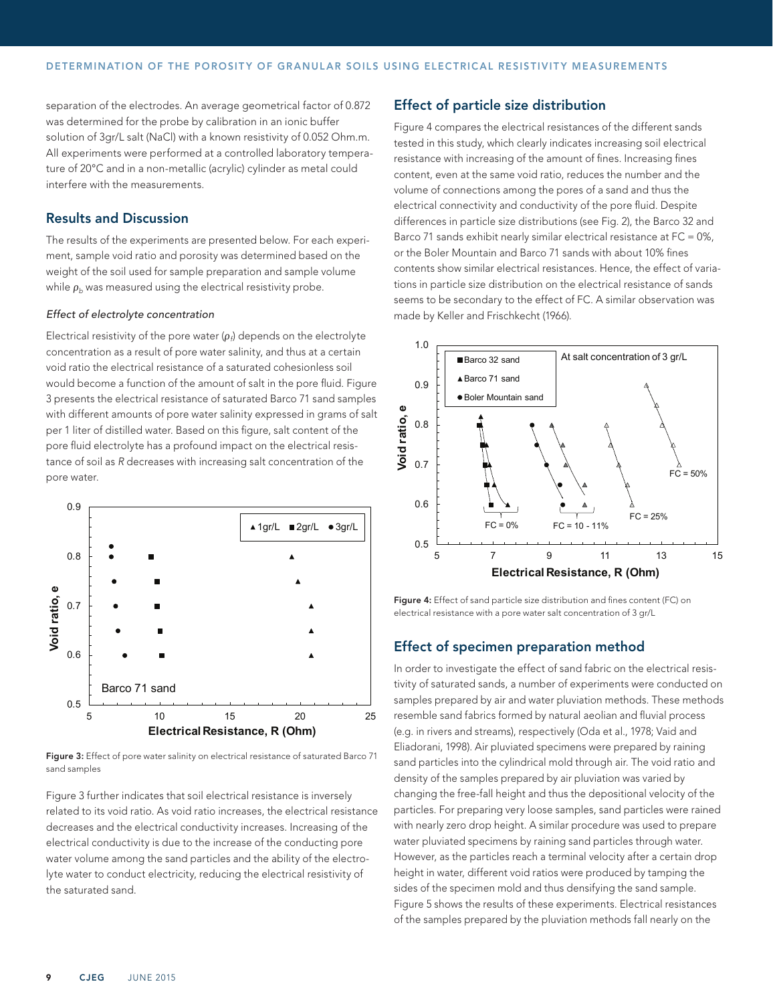separation of the electrodes. An average geometrical factor of 0.872 was determined for the probe by calibration in an ionic buffer solution of 3gr/L salt (NaCl) with a known resistivity of 0.052 Ohm.m. All experiments were performed at a controlled laboratory temperature of 20°C and in a non-metallic (acrylic) cylinder as metal could interfere with the measurements.

# Results and Discussion

The results of the experiments are presented below. For each experiment, sample void ratio and porosity was determined based on the weight of the soil used for sample preparation and sample volume while  $\rho_b$  was measured using the electrical resistivity probe.

#### *Effect of electrolyte concentration*

Electrical resistivity of the pore water (ρ*f*) depends on the electrolyte concentration as a result of pore water salinity, and thus at a certain void ratio the electrical resistance of a saturated cohesionless soil would become a function of the amount of salt in the pore fluid. Figure 3 presents the electrical resistance of saturated Barco 71 sand samples with different amounts of pore water salinity expressed in grams of salt per 1 liter of distilled water. Based on this figure, salt content of the pore fluid electrolyte has a profound impact on the electrical resistance of soil as *R* decreases with increasing salt concentration of the pore water.



Figure 3: Effect of pore water salinity on electrical resistance of saturated Barco 71 sand samples

Figure 3 further indicates that soil electrical resistance is inversely related to its void ratio. As void ratio increases, the electrical resistance decreases and the electrical conductivity increases. Increasing of the electrical conductivity is due to the increase of the conducting pore water volume among the sand particles and the ability of the electrolyte water to conduct electricity, reducing the electrical resistivity of the saturated sand.

# Effect of particle size distribution

Figure 4 compares the electrical resistances of the different sands tested in this study, which clearly indicates increasing soil electrical resistance with increasing of the amount of fines. Increasing fines content, even at the same void ratio, reduces the number and the volume of connections among the pores of a sand and thus the electrical connectivity and conductivity of the pore fluid. Despite differences in particle size distributions (see Fig. 2), the Barco 32 and Barco 71 sands exhibit nearly similar electrical resistance at FC = 0%, or the Boler Mountain and Barco 71 sands with about 10% fines contents show similar electrical resistances. Hence, the effect of variations in particle size distribution on the electrical resistance of sands seems to be secondary to the effect of FC. A similar observation was made by Keller and Frischkecht (1966).



Figure 4: Effect of sand particle size distribution and fines content (FC) on electrical resistance with a pore water salt concentration of 3 gr/L

## Effect of specimen preparation method

In order to investigate the effect of sand fabric on the electrical resistivity of saturated sands, a number of experiments were conducted on samples prepared by air and water pluviation methods. These methods resemble sand fabrics formed by natural aeolian and fluvial process (e.g. in rivers and streams), respectively (Oda et al., 1978; Vaid and Eliadorani, 1998). Air pluviated specimens were prepared by raining sand particles into the cylindrical mold through air. The void ratio and density of the samples prepared by air pluviation was varied by changing the free-fall height and thus the depositional velocity of the particles. For preparing very loose samples, sand particles were rained with nearly zero drop height. A similar procedure was used to prepare water pluviated specimens by raining sand particles through water. However, as the particles reach a terminal velocity after a certain drop height in water, different void ratios were produced by tamping the sides of the specimen mold and thus densifying the sand sample. Figure 5 shows the results of these experiments. Electrical resistances of the samples prepared by the pluviation methods fall nearly on the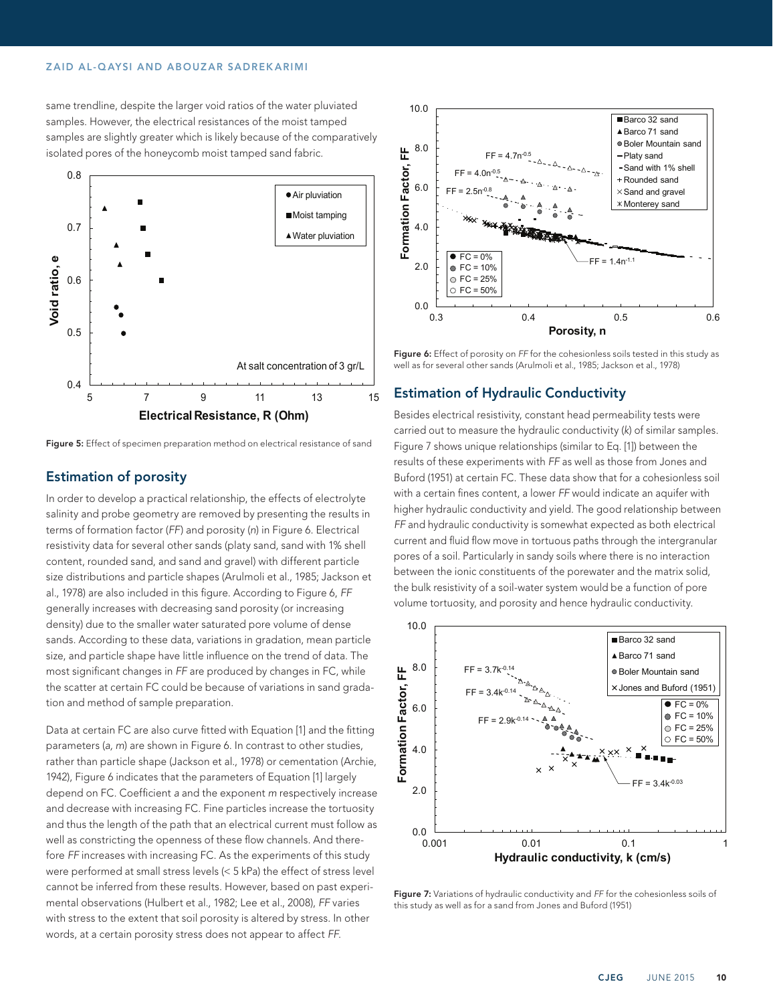#### ZAID AL-QAYSI AND ABOUZAR SADREKARIMI

same trendline, despite the larger void ratios of the water pluviated samples. However, the electrical resistances of the moist tamped samples are slightly greater which is likely because of the comparatively isolated pores of the honeycomb moist tamped sand fabric.



Figure 5: Effect of specimen preparation method on electrical resistance of sand

# Estimation of porosity

In order to develop a practical relationship, the effects of electrolyte salinity and probe geometry are removed by presenting the results in terms of formation factor (*FF*) and porosity (*n*) in Figure 6. Electrical resistivity data for several other sands (platy sand, sand with 1% shell content, rounded sand, and sand and gravel) with different particle size distributions and particle shapes (Arulmoli et al., 1985; Jackson et al., 1978) are also included in this figure. According to Figure 6, *FF* generally increases with decreasing sand porosity (or increasing density) due to the smaller water saturated pore volume of dense sands. According to these data, variations in gradation, mean particle size, and particle shape have little influence on the trend of data. The most significant changes in *FF* are produced by changes in FC, while the scatter at certain FC could be because of variations in sand gradation and method of sample preparation.

Data at certain FC are also curve fitted with Equation [1] and the fitting parameters (*a, m*) are shown in Figure 6. In contrast to other studies, rather than particle shape (Jackson et al., 1978) or cementation (Archie, 1942), Figure 6 indicates that the parameters of Equation [1] largely depend on FC. Coefficient *a* and the exponent *m* respectively increase and decrease with increasing FC. Fine particles increase the tortuosity and thus the length of the path that an electrical current must follow as well as constricting the openness of these flow channels. And therefore *FF* increases with increasing FC. As the experiments of this study were performed at small stress levels (< 5 kPa) the effect of stress level cannot be inferred from these results. However, based on past experimental observations (Hulbert et al., 1982; Lee et al., 2008), *FF* varies with stress to the extent that soil porosity is altered by stress. In other words, at a certain porosity stress does not appear to affect *FF*.



Figure 6: Effect of porosity on FF for the cohesionless soils tested in this study as well as for several other sands (Arulmoli et al., 1985; Jackson et al., 1978)

## Estimation of Hydraulic Conductivity

Besides electrical resistivity, constant head permeability tests were carried out to measure the hydraulic conductivity (*k*) of similar samples. Figure 7 shows unique relationships (similar to Eq. [1]) between the results of these experiments with *FF* as well as those from Jones and Buford (1951) at certain FC. These data show that for a cohesionless soil with a certain fines content, a lower *FF* would indicate an aquifer with higher hydraulic conductivity and yield. The good relationship between *FF* and hydraulic conductivity is somewhat expected as both electrical current and fluid flow move in tortuous paths through the intergranular pores of a soil. Particularly in sandy soils where there is no interaction between the ionic constituents of the porewater and the matrix solid, the bulk resistivity of a soil-water system would be a function of pore volume tortuosity, and porosity and hence hydraulic conductivity.



Figure 7: Variations of hydraulic conductivity and *FF* for the cohesionless soils of this study as well as for a sand from Jones and Buford (1951)